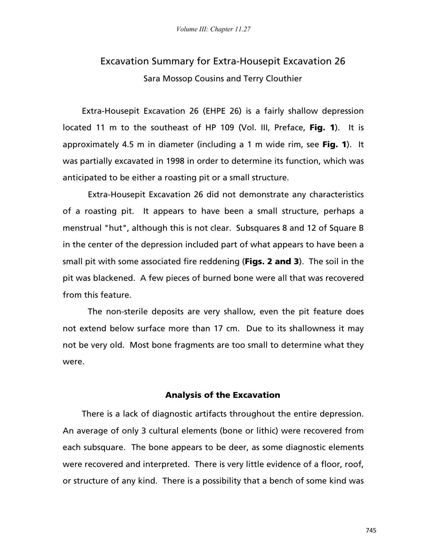## Excavation Summary for Extra-Housepit Excavation 26 Sara Mossop Cousins and Terry Clouthier

Extra-Housepit Excavation 26 (EHPE 26) is a fairly shallow depression located 11 m to the southeast of HP 109 (Vol. III, Preface, Fig. 1). It is approximately 4.5 m in diameter (including a 1 m wide rim, see Fig. 1). It was partially excavated in 1998 in order to determine its function, which was anticipated to be either a roasting pit or a small structure.

 Extra-Housepit Excavation 26 did not demonstrate any characteristics of a roasting pit. It appears to have been a small structure, perhaps a menstrual "hut", although this is not clear. Subsquares 8 and 12 of Square B in the center of the depression included part of what appears to have been a small pit with some associated fire reddening (Figs. 2 and 3). The soil in the pit was blackened. A few pieces of burned bone were all that was recovered from this feature.

 The non-sterile deposits are very shallow, even the pit feature does not extend below surface more than 17 cm. Due to its shallowness it may not be very old. Most bone fragments are too small to determine what they were.

## Analysis of the Excavation

There is a lack of diagnostic artifacts throughout the entire depression. An average of only 3 cultural elements (bone or lithic) were recovered from each subsquare. The bone appears to be deer, as some diagnostic elements were recovered and interpreted. There is very little evidence of a floor, roof, or structure of any kind. There is a possibility that a bench of some kind was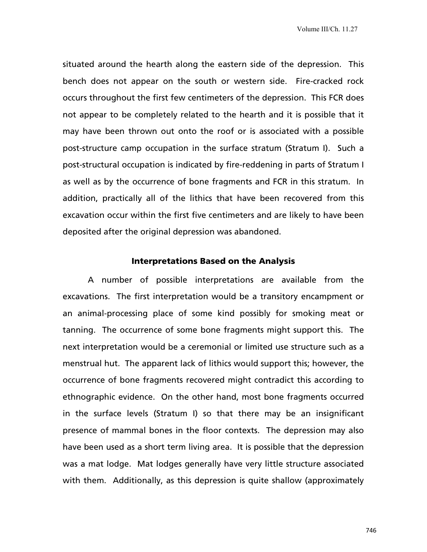situated around the hearth along the eastern side of the depression. This bench does not appear on the south or western side. Fire-cracked rock occurs throughout the first few centimeters of the depression. This FCR does not appear to be completely related to the hearth and it is possible that it may have been thrown out onto the roof or is associated with a possible post-structure camp occupation in the surface stratum (Stratum I). Such a post-structural occupation is indicated by fire-reddening in parts of Stratum I as well as by the occurrence of bone fragments and FCR in this stratum. In addition, practically all of the lithics that have been recovered from this excavation occur within the first five centimeters and are likely to have been deposited after the original depression was abandoned.

## Interpretations Based on the Analysis

A number of possible interpretations are available from the excavations. The first interpretation would be a transitory encampment or an animal-processing place of some kind possibly for smoking meat or tanning. The occurrence of some bone fragments might support this. The next interpretation would be a ceremonial or limited use structure such as a menstrual hut. The apparent lack of lithics would support this; however, the occurrence of bone fragments recovered might contradict this according to ethnographic evidence. On the other hand, most bone fragments occurred in the surface levels (Stratum I) so that there may be an insignificant presence of mammal bones in the floor contexts. The depression may also have been used as a short term living area. It is possible that the depression was a mat lodge. Mat lodges generally have very little structure associated with them. Additionally, as this depression is quite shallow (approximately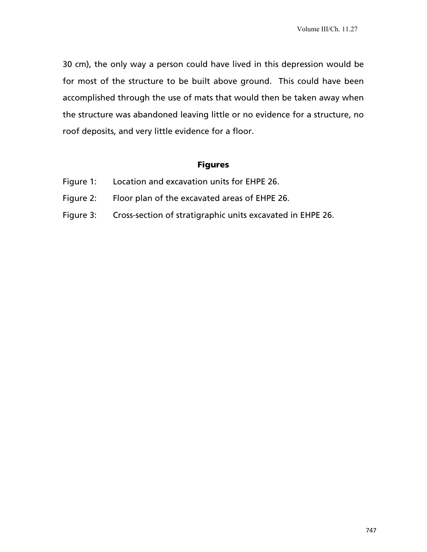30 cm), the only way a person could have lived in this depression would be for most of the structure to be built above ground. This could have been accomplished through the use of mats that would then be taken away when the structure was abandoned leaving little or no evidence for a structure, no roof deposits, and very little evidence for a floor.

## Figures

- Figure 1: Location and excavation units for EHPE 26.
- Figure 2: Floor plan of the excavated areas of EHPE 26.
- Figure 3: Cross-section of stratigraphic units excavated in EHPE 26.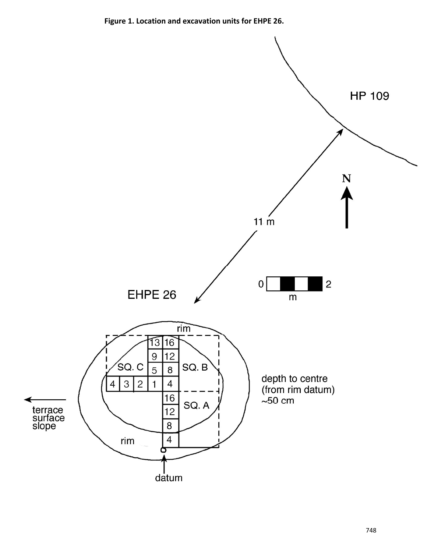**Figure 1. Location and excavation units for EHPE 26.** 

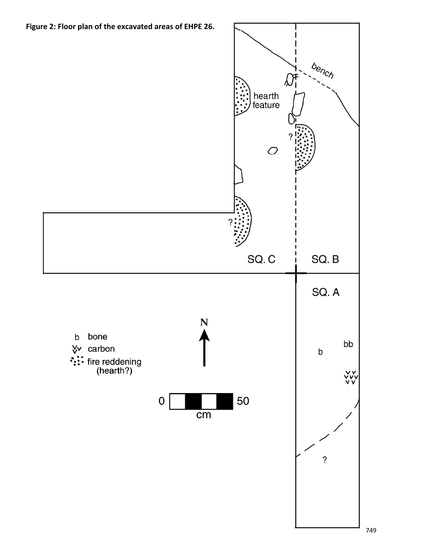**Figure 2: Floor plan of the excavated areas of EHPE 26.**